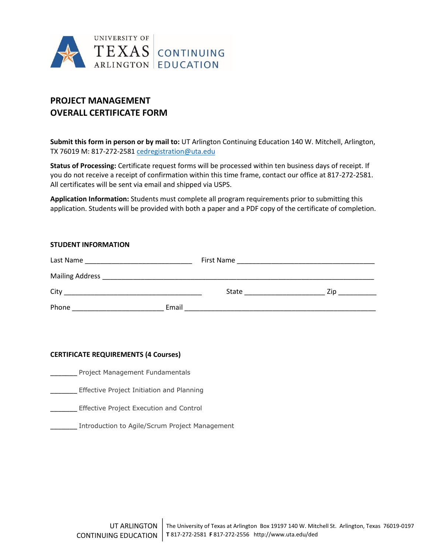

# **PROJECT MANAGEMENT OVERALL CERTIFICATE FORM**

**Submit this form in person or by mail to:** UT Arlington Continuing Education 140 W. Mitchell, Arlington, TX 76019 M: 817-272-258[1 cedregistration@uta.edu](mailto:cedregistration@uta.edu)

**Status of Processing:** Certificate request forms will be processed within ten business days of receipt. If you do not receive a receipt of confirmation within this time frame, contact our office at 817-272-2581. All certificates will be sent via email and shipped via USPS.

**Application Information:** Students must complete all program requirements prior to submitting this application. Students will be provided with both a paper and a PDF copy of the certificate of completion.

| <b>STUDENT INFORMATION</b> |       |                                                                                                                |      |  |  |
|----------------------------|-------|----------------------------------------------------------------------------------------------------------------|------|--|--|
|                            |       |                                                                                                                |      |  |  |
|                            |       |                                                                                                                |      |  |  |
|                            |       | State and the state of the state of the state of the state of the state of the state of the state of the state | Zip. |  |  |
| Phone                      | Email |                                                                                                                |      |  |  |

## **CERTIFICATE REQUIREMENTS (4 Courses)**

\_\_\_\_\_\_\_ Project Management Fundamentals

**\_\_\_\_\_\_\_** Effective Project Initiation and Planning

\_\_\_\_\_\_\_ Effective Project Execution and Control

**Manuel Enterogence Introduction to Agile/Scrum Project Management**